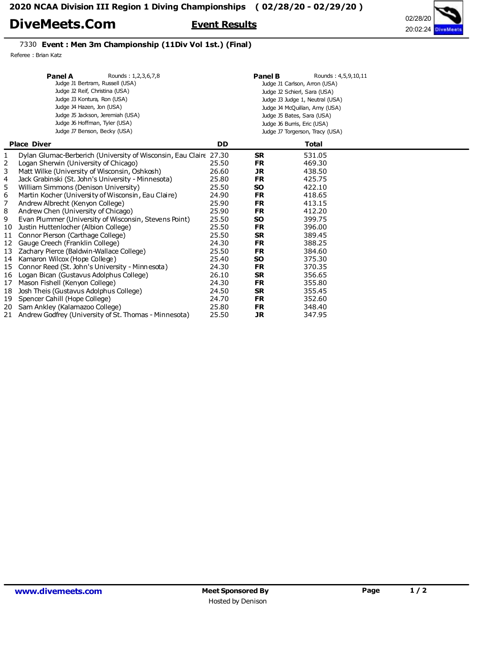## DiveMeets.Com Event Results



## 7330 Event : Men 3m Championship (11Div Vol 1st.) (Final)

Referee : Brian Katz

| Panel A<br>Rounds: 1,2,3,6,7,8<br>Judge J1 Bertram, Russell (USA)<br>Judge J2 Reif, Christina (USA)<br>Judge J3 Kontura, Ron (USA)<br>Judge J4 Hazen, Jon (USA)<br>Judge J5 Jackson, Jeremiah (USA)<br>Judge J6 Hoffman, Tyler (USA)<br>Judge J7 Benson, Becky (USA) |                                                                   |           | <b>Panel B</b><br>Rounds: 4,5,9,10,11<br>Judge J1 Carlson, Arron (USA)<br>Judge J2 Schierl, Sara (USA)<br>Judge J3 Judge 1, Neutral (USA)<br>Judge J4 McQuillan, Amy (USA)<br>Judge J5 Bates, Sara (USA)<br>Judge J6 Burris, Eric (USA)<br>Judge J7 Torgerson, Tracy (USA) |              |  |
|----------------------------------------------------------------------------------------------------------------------------------------------------------------------------------------------------------------------------------------------------------------------|-------------------------------------------------------------------|-----------|----------------------------------------------------------------------------------------------------------------------------------------------------------------------------------------------------------------------------------------------------------------------------|--------------|--|
|                                                                                                                                                                                                                                                                      | <b>Place Diver</b>                                                | <b>DD</b> |                                                                                                                                                                                                                                                                            | <b>Total</b> |  |
| 1                                                                                                                                                                                                                                                                    | Dylan Glumac-Berberich (University of Wisconsin, Eau Claire 27.30 |           | <b>SR</b>                                                                                                                                                                                                                                                                  | 531.05       |  |
| 2                                                                                                                                                                                                                                                                    | Logan Sherwin (University of Chicago)                             | 25.50     | <b>FR</b>                                                                                                                                                                                                                                                                  | 469.30       |  |
| 3                                                                                                                                                                                                                                                                    | Matt Wilke (University of Wisconsin, Oshkosh)                     | 26.60     | <b>JR</b>                                                                                                                                                                                                                                                                  | 438.50       |  |
| 4                                                                                                                                                                                                                                                                    | Jack Grabinski (St. John's University - Minnesota)                | 25.80     | <b>FR</b>                                                                                                                                                                                                                                                                  | 425.75       |  |
| 5                                                                                                                                                                                                                                                                    | William Simmons (Denison University)                              | 25.50     | <b>SO</b>                                                                                                                                                                                                                                                                  | 422.10       |  |
| 6                                                                                                                                                                                                                                                                    | Martin Kocher (University of Wisconsin, Eau Claire)               | 24.90     | <b>FR</b>                                                                                                                                                                                                                                                                  | 418.65       |  |
| 7                                                                                                                                                                                                                                                                    | Andrew Albrecht (Kenyon College)                                  | 25.90     | <b>FR</b>                                                                                                                                                                                                                                                                  | 413.15       |  |
| 8                                                                                                                                                                                                                                                                    | Andrew Chen (University of Chicago)                               | 25.90     | <b>FR</b>                                                                                                                                                                                                                                                                  | 412.20       |  |
| 9                                                                                                                                                                                                                                                                    | Evan Plummer (University of Wisconsin, Stevens Point)             | 25.50     | <b>SO</b>                                                                                                                                                                                                                                                                  | 399.75       |  |
| 10                                                                                                                                                                                                                                                                   | Justin Huttenlocher (Albion College)                              | 25.50     | <b>FR</b>                                                                                                                                                                                                                                                                  | 396.00       |  |
| 11                                                                                                                                                                                                                                                                   | Connor Pierson (Carthage College)                                 | 25.50     | <b>SR</b>                                                                                                                                                                                                                                                                  | 389.45       |  |
| 12                                                                                                                                                                                                                                                                   | Gauge Creech (Franklin College)                                   | 24.30     | <b>FR</b>                                                                                                                                                                                                                                                                  | 388.25       |  |
| 13                                                                                                                                                                                                                                                                   | Zachary Pierce (Baldwin-Wallace College)                          | 25.50     | <b>FR</b>                                                                                                                                                                                                                                                                  | 384.60       |  |
| 14                                                                                                                                                                                                                                                                   | Kamaron Wilcox (Hope College)                                     | 25.40     | <b>SO</b>                                                                                                                                                                                                                                                                  | 375.30       |  |
| 15                                                                                                                                                                                                                                                                   | Connor Reed (St. John's University - Minnesota)                   | 24.30     | <b>FR</b>                                                                                                                                                                                                                                                                  | 370.35       |  |
| 16                                                                                                                                                                                                                                                                   | Logan Bican (Gustavus Adolphus College)                           | 26.10     | <b>SR</b>                                                                                                                                                                                                                                                                  | 356.65       |  |
| 17                                                                                                                                                                                                                                                                   | Mason Fishell (Kenyon College)                                    | 24.30     | <b>FR</b>                                                                                                                                                                                                                                                                  | 355.80       |  |
| 18                                                                                                                                                                                                                                                                   | Josh Theis (Gustavus Adolphus College)                            | 24.50     | <b>SR</b>                                                                                                                                                                                                                                                                  | 355.45       |  |
| 19                                                                                                                                                                                                                                                                   | Spencer Cahill (Hope College)                                     | 24.70     | <b>FR</b>                                                                                                                                                                                                                                                                  | 352.60       |  |
| 20                                                                                                                                                                                                                                                                   | Sam Ankley (Kalamazoo College)                                    | 25.80     | <b>FR</b>                                                                                                                                                                                                                                                                  | 348.40       |  |
|                                                                                                                                                                                                                                                                      | 21 Andrew Godfrey (University of St. Thomas - Minnesota)          | 25.50     | JR                                                                                                                                                                                                                                                                         | 347.95       |  |